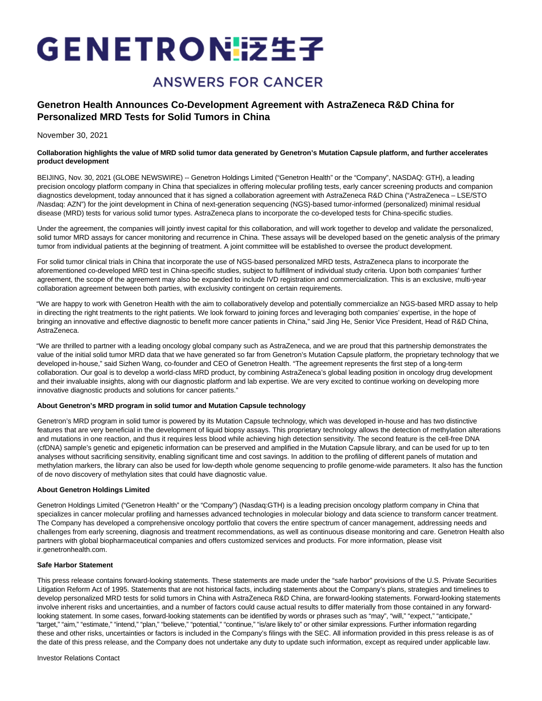# GENETRONI泛生子

## **ANSWERS FOR CANCER**

### **Genetron Health Announces Co-Development Agreement with AstraZeneca R&D China for Personalized MRD Tests for Solid Tumors in China**

November 30, 2021

#### **Collaboration highlights the value of MRD solid tumor data generated by Genetron's Mutation Capsule platform, and further accelerates product development**

BEIJING, Nov. 30, 2021 (GLOBE NEWSWIRE) -- Genetron Holdings Limited ("Genetron Health" or the "Company", NASDAQ: GTH), a leading precision oncology platform company in China that specializes in offering molecular profiling tests, early cancer screening products and companion diagnostics development, today announced that it has signed a collaboration agreement with AstraZeneca R&D China ("AstraZeneca – LSE/STO /Nasdaq: AZN") for the joint development in China of next-generation sequencing (NGS)-based tumor-informed (personalized) minimal residual disease (MRD) tests for various solid tumor types. AstraZeneca plans to incorporate the co-developed tests for China-specific studies.

Under the agreement, the companies will jointly invest capital for this collaboration, and will work together to develop and validate the personalized, solid tumor MRD assays for cancer monitoring and recurrence in China. These assays will be developed based on the genetic analysis of the primary tumor from individual patients at the beginning of treatment. A joint committee will be established to oversee the product development.

For solid tumor clinical trials in China that incorporate the use of NGS-based personalized MRD tests, AstraZeneca plans to incorporate the aforementioned co-developed MRD test in China-specific studies, subject to fulfillment of individual study criteria. Upon both companies' further agreement, the scope of the agreement may also be expanded to include IVD registration and commercialization. This is an exclusive, multi-year collaboration agreement between both parties, with exclusivity contingent on certain requirements.

"We are happy to work with Genetron Health with the aim to collaboratively develop and potentially commercialize an NGS-based MRD assay to help in directing the right treatments to the right patients. We look forward to joining forces and leveraging both companies' expertise, in the hope of bringing an innovative and effective diagnostic to benefit more cancer patients in China," said Jing He, Senior Vice President, Head of R&D China, AstraZeneca.

"We are thrilled to partner with a leading oncology global company such as AstraZeneca, and we are proud that this partnership demonstrates the value of the initial solid tumor MRD data that we have generated so far from Genetron's Mutation Capsule platform, the proprietary technology that we developed in-house," said Sizhen Wang, co-founder and CEO of Genetron Health. "The agreement represents the first step of a long-term collaboration. Our goal is to develop a world-class MRD product, by combining AstraZeneca's global leading position in oncology drug development and their invaluable insights, along with our diagnostic platform and lab expertise. We are very excited to continue working on developing more innovative diagnostic products and solutions for cancer patients."

#### **About Genetron's MRD program in solid tumor and Mutation Capsule technology**

Genetron's MRD program in solid tumor is powered by its Mutation Capsule technology, which was developed in-house and has two distinctive features that are very beneficial in the development of liquid biopsy assays. This proprietary technology allows the detection of methylation alterations and mutations in one reaction, and thus it requires less blood while achieving high detection sensitivity. The second feature is the cell-free DNA (cfDNA) sample's genetic and epigenetic information can be preserved and amplified in the Mutation Capsule library, and can be used for up to ten analyses without sacrificing sensitivity, enabling significant time and cost savings. In addition to the profiling of different panels of mutation and methylation markers, the library can also be used for low-depth whole genome sequencing to profile genome-wide parameters. It also has the function of de novo discovery of methylation sites that could have diagnostic value.

#### **About Genetron Holdings Limited**

Genetron Holdings Limited ("Genetron Health" or the "Company") (Nasdaq:GTH) is a leading precision oncology platform company in China that specializes in cancer molecular profiling and harnesses advanced technologies in molecular biology and data science to transform cancer treatment. The Company has developed a comprehensive oncology portfolio that covers the entire spectrum of cancer management, addressing needs and challenges from early screening, diagnosis and treatment recommendations, as well as continuous disease monitoring and care. Genetron Health also partners with global biopharmaceutical companies and offers customized services and products. For more information, please visit ir.genetronhealth.com.

#### **Safe Harbor Statement**

This press release contains forward-looking statements. These statements are made under the "safe harbor" provisions of the U.S. Private Securities Litigation Reform Act of 1995. Statements that are not historical facts, including statements about the Company's plans, strategies and timelines to develop personalized MRD tests for solid tumors in China with AstraZeneca R&D China, are forward-looking statements. Forward-looking statements involve inherent risks and uncertainties, and a number of factors could cause actual results to differ materially from those contained in any forwardlooking statement. In some cases, forward-looking statements can be identified by words or phrases such as "may", "will," "expect," "anticipate," "target," "aim," "estimate," "intend," "plan," "believe," "potential," "continue," "is/are likely to" or other similar expressions. Further information regarding these and other risks, uncertainties or factors is included in the Company's filings with the SEC. All information provided in this press release is as of the date of this press release, and the Company does not undertake any duty to update such information, except as required under applicable law.